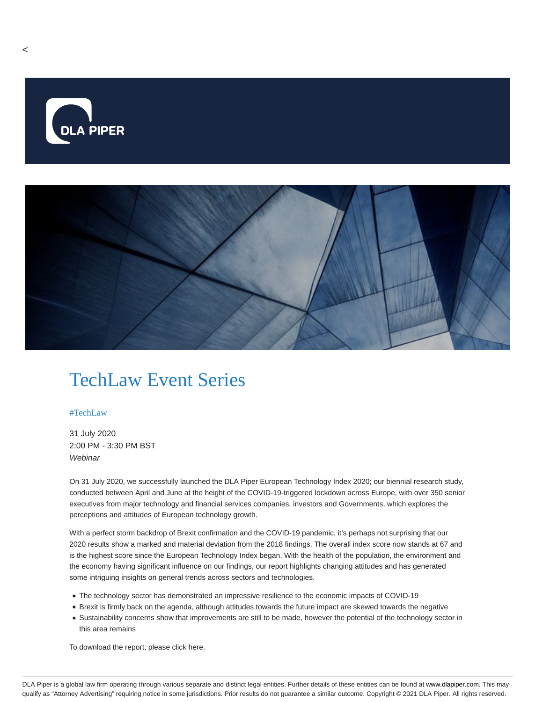

## TechLaw Event Series

## #TechLaw

31 July 2020 2:00 PM - 3:30 PM BST **Webinar** 

On 31 July 2020, we successfully launched the DLA Piper European Technology Index 2020; our biennial research study, conducted between April and June at the height of the COVID-19-triggered lockdown across Europe, with over 350 senior executives from major technology and financial services companies, investors and Governments, which explores the perceptions and attitudes of European technology growth.

With a perfect storm backdrop of Brexit confirmation and the COVID-19 pandemic, it's perhaps not surprising that our 2020 results show a marked and material deviation from the 2018 findings. The overall index score now stands at 67 and is the highest score since the European Technology Index began. With the health of the population, the environment and the economy having significant influence on our findings, our report highlights changing attitudes and has generated some intriguing insights on general trends across sectors and technologies.

- The technology sector has demonstrated an impressive resilience to the economic impacts of COVID-19
- Brexit is firmly back on the agenda, although attitudes towards the future impact are skewed towards the negative
- Sustainability concerns show that improvements are still to be made, however the potential of the technology sector in this area remains

To download the report, please click here.